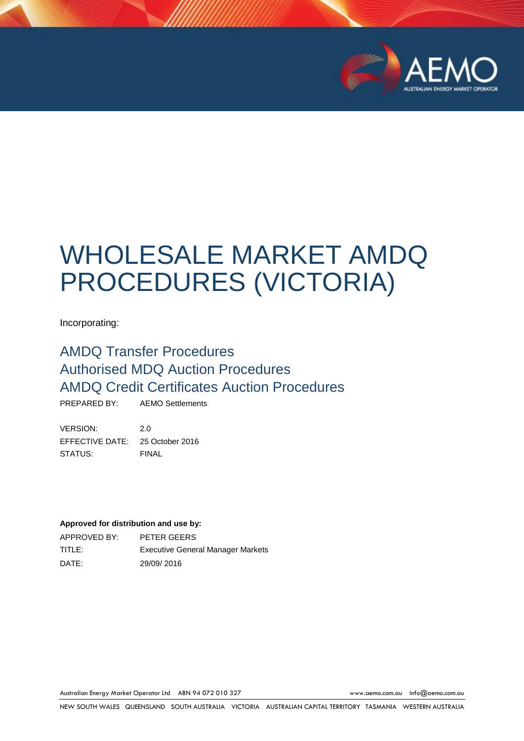

# WHOLESALE MARKET AMDQ PROCEDURES (VICTORIA)

Incorporating:

# AMDQ Transfer Procedures Authorised MDQ Auction Procedures AMDQ Credit Certificates Auction Procedures

PREPARED BY: AEMO Settlements

VERSION: 2.0 EFFECTIVE DATE: 25 October 2016 STATUS: FINAL

#### **Approved for distribution and use by:**

APPROVED BY: PETER GEERS TITLE: Executive General Manager Markets DATE: 29/09/ 2016

Australian Energy Market Operator Ltd ABN 94 072 010 327 [www.aemo.com.au](http://www.aemo.com.au/) [info@aemo.com.au](mailto:info@aemo.com.au)

NEW SOUTH WALES QUEENSLAND SOUTH AUSTRALIA VICTORIA AUSTRALIAN CAPITAL TERRITORY TASMANIA WESTERN AUSTRALIA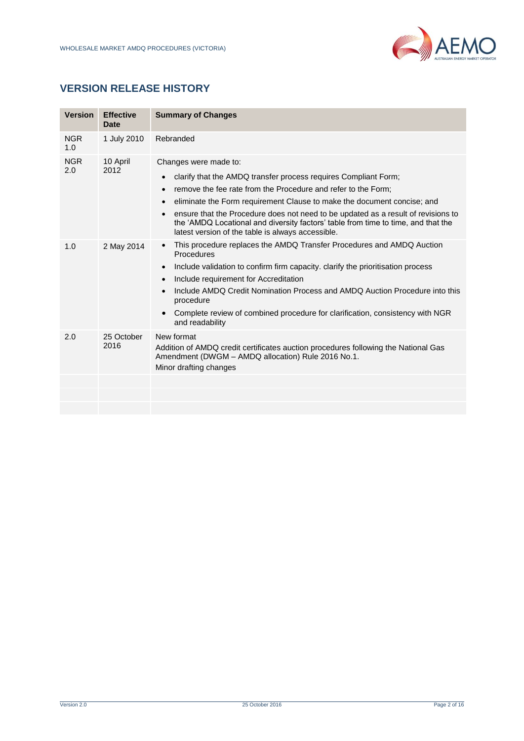

# **VERSION RELEASE HISTORY**

| <b>Version</b>    | <b>Effective</b><br>Date | <b>Summary of Changes</b>                                                                                                                                                                                                                                                                                                                                                                                                                                                                     |
|-------------------|--------------------------|-----------------------------------------------------------------------------------------------------------------------------------------------------------------------------------------------------------------------------------------------------------------------------------------------------------------------------------------------------------------------------------------------------------------------------------------------------------------------------------------------|
| <b>NGR</b><br>1.0 | 1 July 2010              | Rebranded                                                                                                                                                                                                                                                                                                                                                                                                                                                                                     |
| <b>NGR</b><br>2.0 | 10 April<br>2012         | Changes were made to:<br>clarify that the AMDQ transfer process requires Compliant Form;<br>$\bullet$<br>remove the fee rate from the Procedure and refer to the Form;<br>eliminate the Form requirement Clause to make the document concise; and<br>$\bullet$<br>ensure that the Procedure does not need to be updated as a result of revisions to<br>the 'AMDQ Locational and diversity factors' table from time to time, and that the<br>latest version of the table is always accessible. |
| 1.0               | 2 May 2014               | This procedure replaces the AMDQ Transfer Procedures and AMDQ Auction<br>$\bullet$<br>Procedures<br>Include validation to confirm firm capacity. clarify the prioritisation process<br>$\bullet$<br>Include requirement for Accreditation<br>$\bullet$<br>Include AMDO Credit Nomination Process and AMDO Auction Procedure into this<br>$\bullet$<br>procedure<br>Complete review of combined procedure for clarification, consistency with NGR<br>$\bullet$<br>and readability              |
| 2.0               | 25 October<br>2016       | New format<br>Addition of AMDQ credit certificates auction procedures following the National Gas<br>Amendment (DWGM - AMDQ allocation) Rule 2016 No.1.<br>Minor drafting changes                                                                                                                                                                                                                                                                                                              |
|                   |                          |                                                                                                                                                                                                                                                                                                                                                                                                                                                                                               |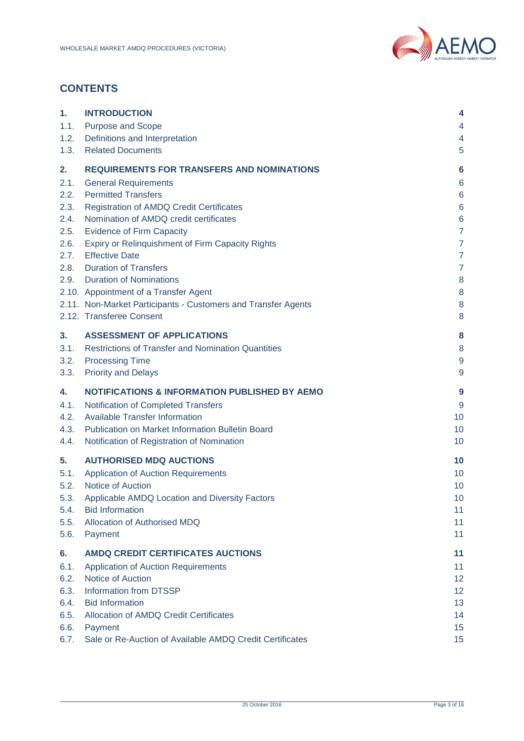

# **CONTENTS**

| 1.                                                                         | <b>INTRODUCTION</b>                                                                                                                                                                                                                                                                                                                                                                                                                                                                                                                  | 4                                                                                                                                      |
|----------------------------------------------------------------------------|--------------------------------------------------------------------------------------------------------------------------------------------------------------------------------------------------------------------------------------------------------------------------------------------------------------------------------------------------------------------------------------------------------------------------------------------------------------------------------------------------------------------------------------|----------------------------------------------------------------------------------------------------------------------------------------|
| 1.1.                                                                       | <b>Purpose and Scope</b>                                                                                                                                                                                                                                                                                                                                                                                                                                                                                                             | 4                                                                                                                                      |
| 1.2.                                                                       | Definitions and Interpretation                                                                                                                                                                                                                                                                                                                                                                                                                                                                                                       | 4                                                                                                                                      |
| 1.3.                                                                       | <b>Related Documents</b>                                                                                                                                                                                                                                                                                                                                                                                                                                                                                                             | 5                                                                                                                                      |
| 2.<br>2.1.<br>2.2.<br>2.3.<br>2.4.<br>2.5.<br>2.6.<br>2.7.<br>2.8.<br>2.9. | <b>REQUIREMENTS FOR TRANSFERS AND NOMINATIONS</b><br><b>General Requirements</b><br><b>Permitted Transfers</b><br><b>Registration of AMDQ Credit Certificates</b><br>Nomination of AMDQ credit certificates<br><b>Evidence of Firm Capacity</b><br>Expiry or Relinquishment of Firm Capacity Rights<br><b>Effective Date</b><br><b>Duration of Transfers</b><br><b>Duration of Nominations</b><br>2.10. Appointment of a Transfer Agent<br>2.11. Non-Market Participants - Customers and Transfer Agents<br>2.12. Transferee Consent | 6<br>6<br>6<br>6<br>$\boldsymbol{6}$<br>$\overline{7}$<br>$\overline{7}$<br>$\overline{7}$<br>$\overline{7}$<br>8<br>$\bf 8$<br>8<br>8 |
| 3.                                                                         | <b>ASSESSMENT OF APPLICATIONS</b>                                                                                                                                                                                                                                                                                                                                                                                                                                                                                                    | 8                                                                                                                                      |
| 3.1.                                                                       | <b>Restrictions of Transfer and Nomination Quantities</b>                                                                                                                                                                                                                                                                                                                                                                                                                                                                            | 8                                                                                                                                      |
| 3.2.                                                                       | <b>Processing Time</b>                                                                                                                                                                                                                                                                                                                                                                                                                                                                                                               | $9\,$                                                                                                                                  |
| 3.3.                                                                       | <b>Priority and Delays</b>                                                                                                                                                                                                                                                                                                                                                                                                                                                                                                           | 9                                                                                                                                      |
| 4.                                                                         | <b>NOTIFICATIONS &amp; INFORMATION PUBLISHED BY AEMO</b>                                                                                                                                                                                                                                                                                                                                                                                                                                                                             | 9                                                                                                                                      |
| 4.1.                                                                       | Notification of Completed Transfers                                                                                                                                                                                                                                                                                                                                                                                                                                                                                                  | 9                                                                                                                                      |
| 4.2.                                                                       | <b>Available Transfer Information</b>                                                                                                                                                                                                                                                                                                                                                                                                                                                                                                | 10                                                                                                                                     |
| 4.3.                                                                       | Publication on Market Information Bulletin Board                                                                                                                                                                                                                                                                                                                                                                                                                                                                                     | 10                                                                                                                                     |
| 4.4.                                                                       | Notification of Registration of Nomination                                                                                                                                                                                                                                                                                                                                                                                                                                                                                           | 10                                                                                                                                     |
| 5.                                                                         | <b>AUTHORISED MDQ AUCTIONS</b>                                                                                                                                                                                                                                                                                                                                                                                                                                                                                                       | 10                                                                                                                                     |
| 5.1.                                                                       | <b>Application of Auction Requirements</b>                                                                                                                                                                                                                                                                                                                                                                                                                                                                                           | 10                                                                                                                                     |
| 5.2.                                                                       | Notice of Auction                                                                                                                                                                                                                                                                                                                                                                                                                                                                                                                    | 10                                                                                                                                     |
| 5.3.                                                                       | Applicable AMDQ Location and Diversity Factors                                                                                                                                                                                                                                                                                                                                                                                                                                                                                       | 10                                                                                                                                     |
| 5.4.                                                                       | <b>Bid Information</b>                                                                                                                                                                                                                                                                                                                                                                                                                                                                                                               | 11                                                                                                                                     |
| 5.5.                                                                       | Allocation of Authorised MDQ                                                                                                                                                                                                                                                                                                                                                                                                                                                                                                         | 11                                                                                                                                     |
| 5.6.                                                                       | Payment                                                                                                                                                                                                                                                                                                                                                                                                                                                                                                                              | 11                                                                                                                                     |
| 6.                                                                         | <b>AMDQ CREDIT CERTIFICATES AUCTIONS</b>                                                                                                                                                                                                                                                                                                                                                                                                                                                                                             | 11                                                                                                                                     |
| 6.1.                                                                       | <b>Application of Auction Requirements</b>                                                                                                                                                                                                                                                                                                                                                                                                                                                                                           | 11                                                                                                                                     |
| 6.2.                                                                       | Notice of Auction                                                                                                                                                                                                                                                                                                                                                                                                                                                                                                                    | 12 <sup>2</sup>                                                                                                                        |
| 6.3.                                                                       | Information from DTSSP                                                                                                                                                                                                                                                                                                                                                                                                                                                                                                               | 12 <sup>2</sup>                                                                                                                        |
| 6.4.                                                                       | <b>Bid Information</b>                                                                                                                                                                                                                                                                                                                                                                                                                                                                                                               | 13 <sup>°</sup>                                                                                                                        |
| 6.5.                                                                       | Allocation of AMDQ Credit Certificates                                                                                                                                                                                                                                                                                                                                                                                                                                                                                               | 14                                                                                                                                     |
| 6.6.                                                                       | Payment                                                                                                                                                                                                                                                                                                                                                                                                                                                                                                                              | 15 <sub>15</sub>                                                                                                                       |
| 6.7.                                                                       | Sale or Re-Auction of Available AMDQ Credit Certificates                                                                                                                                                                                                                                                                                                                                                                                                                                                                             | 15 <sub>15</sub>                                                                                                                       |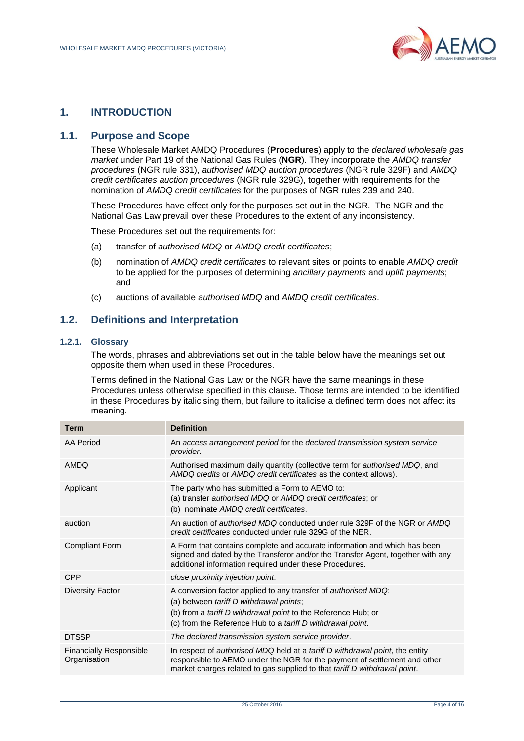

# <span id="page-3-0"></span>**1. INTRODUCTION**

#### <span id="page-3-1"></span>**1.1. Purpose and Scope**

These Wholesale Market AMDQ Procedures (**Procedures**) apply to the *declared wholesale gas market* under Part 19 of the National Gas Rules (**NGR**). They incorporate the *AMDQ transfer procedures* (NGR rule 331), *authorised MDQ auction procedures* (NGR rule 329F) and *AMDQ credit certificates auction procedures* (NGR rule 329G), together with requirements for the nomination of *AMDQ credit certificates* for the purposes of NGR rules 239 and 240.

These Procedures have effect only for the purposes set out in the NGR. The NGR and the National Gas Law prevail over these Procedures to the extent of any inconsistency.

These Procedures set out the requirements for:

- (a) transfer of *authorised MDQ* or *AMDQ credit certificates*;
- (b) nomination of *AMDQ credit certificates* to relevant sites or points to enable *AMDQ credit* to be applied for the purposes of determining *ancillary payments* and *uplift payments*; and
- (c) auctions of available *authorised MDQ* and *AMDQ credit certificates*.

# <span id="page-3-2"></span>**1.2. Definitions and Interpretation**

#### **1.2.1. Glossary**

The words, phrases and abbreviations set out in the table below have the meanings set out opposite them when used in these Procedures.

Terms defined in the National Gas Law or the NGR have the same meanings in these Procedures unless otherwise specified in this clause. Those terms are intended to be identified in these Procedures by italicising them, but failure to italicise a defined term does not affect its meaning.

| <b>Term</b>                                    | <b>Definition</b>                                                                                                                                                                                                                                             |
|------------------------------------------------|---------------------------------------------------------------------------------------------------------------------------------------------------------------------------------------------------------------------------------------------------------------|
| AA Period                                      | An access arrangement period for the declared transmission system service<br>provider.                                                                                                                                                                        |
| <b>AMDQ</b>                                    | Authorised maximum daily quantity (collective term for authorised MDQ, and<br>AMDQ credits or AMDQ credit certificates as the context allows).                                                                                                                |
| Applicant                                      | The party who has submitted a Form to AEMO to:<br>(a) transfer authorised MDQ or AMDQ credit certificates; or<br>(b) nominate AMDQ credit certificates.                                                                                                       |
| auction                                        | An auction of <i>authorised MDQ</i> conducted under rule 329F of the NGR or <i>AMDQ</i><br>credit certificates conducted under rule 329G of the NER.                                                                                                          |
| <b>Compliant Form</b>                          | A Form that contains complete and accurate information and which has been<br>signed and dated by the Transferor and/or the Transfer Agent, together with any<br>additional information required under these Procedures.                                       |
| <b>CPP</b>                                     | close proximity injection point.                                                                                                                                                                                                                              |
| <b>Diversity Factor</b>                        | A conversion factor applied to any transfer of authorised MDQ:<br>(a) between tariff D withdrawal points;<br>(b) from a tariff D withdrawal point to the Reference Hub; or<br>(c) from the Reference Hub to a <i>tariff D withdrawal point</i> .              |
| <b>DTSSP</b>                                   | The declared transmission system service provider.                                                                                                                                                                                                            |
| <b>Financially Responsible</b><br>Organisation | In respect of <i>authorised MDQ</i> held at a <i>tariff D withdrawal point</i> , the entity<br>responsible to AEMO under the NGR for the payment of settlement and other<br>market charges related to gas supplied to that <i>tariff D withdrawal point</i> . |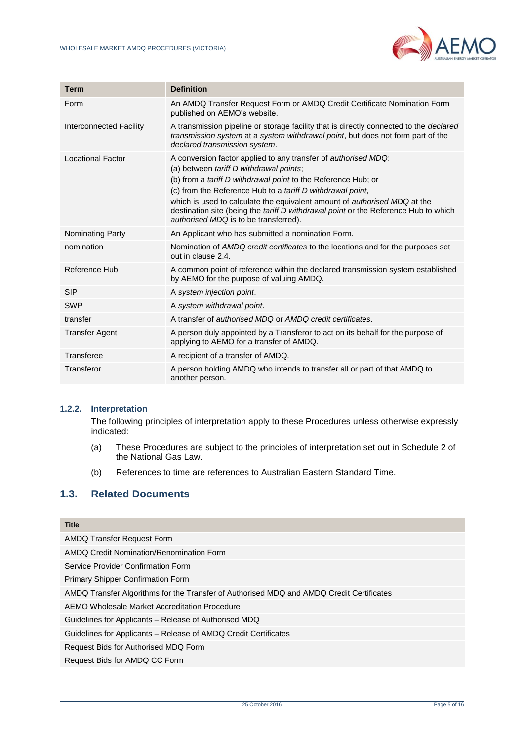

| <b>Term</b>                    | <b>Definition</b>                                                                                                                                                                                                                                                                                                                                                                                                                                                                  |
|--------------------------------|------------------------------------------------------------------------------------------------------------------------------------------------------------------------------------------------------------------------------------------------------------------------------------------------------------------------------------------------------------------------------------------------------------------------------------------------------------------------------------|
| Form                           | An AMDQ Transfer Request Form or AMDQ Credit Certificate Nomination Form<br>published on AEMO's website.                                                                                                                                                                                                                                                                                                                                                                           |
| <b>Interconnected Facility</b> | A transmission pipeline or storage facility that is directly connected to the <i>declared</i><br>transmission system at a system withdrawal point, but does not form part of the<br>declared transmission system.                                                                                                                                                                                                                                                                  |
| <b>Locational Factor</b>       | A conversion factor applied to any transfer of <i>authorised MDQ</i> :<br>(a) between tariff D withdrawal points;<br>(b) from a <i>tariff D withdrawal point</i> to the Reference Hub; or<br>(c) from the Reference Hub to a tariff D withdrawal point,<br>which is used to calculate the equivalent amount of <i>authorised MDQ</i> at the<br>destination site (being the <i>tariff D withdrawal point</i> or the Reference Hub to which<br>authorised MDQ is to be transferred). |
| Nominating Party               | An Applicant who has submitted a nomination Form.                                                                                                                                                                                                                                                                                                                                                                                                                                  |
| nomination                     | Nomination of AMDQ credit certificates to the locations and for the purposes set<br>out in clause 2.4.                                                                                                                                                                                                                                                                                                                                                                             |
| Reference Hub                  | A common point of reference within the declared transmission system established<br>by AEMO for the purpose of valuing AMDQ.                                                                                                                                                                                                                                                                                                                                                        |
| <b>SIP</b>                     | A system injection point.                                                                                                                                                                                                                                                                                                                                                                                                                                                          |
| <b>SWP</b>                     | A system withdrawal point.                                                                                                                                                                                                                                                                                                                                                                                                                                                         |
| transfer                       | A transfer of <i>authorised MDQ</i> or <i>AMDQ credit certificates</i> .                                                                                                                                                                                                                                                                                                                                                                                                           |
| <b>Transfer Agent</b>          | A person duly appointed by a Transferor to act on its behalf for the purpose of<br>applying to AEMO for a transfer of AMDQ.                                                                                                                                                                                                                                                                                                                                                        |
| Transferee                     | A recipient of a transfer of AMDQ.                                                                                                                                                                                                                                                                                                                                                                                                                                                 |
| Transferor                     | A person holding AMDQ who intends to transfer all or part of that AMDQ to<br>another person.                                                                                                                                                                                                                                                                                                                                                                                       |

#### **1.2.2. Interpretation**

The following principles of interpretation apply to these Procedures unless otherwise expressly indicated:

- (a) These Procedures are subject to the principles of interpretation set out in Schedule 2 of the National Gas Law.
- (b) References to time are references to Australian Eastern Standard Time.

# <span id="page-4-0"></span>**1.3. Related Documents**

| <b>Title</b>                                                                             |
|------------------------------------------------------------------------------------------|
| <b>AMDQ Transfer Request Form</b>                                                        |
| AMDQ Credit Nomination/Renomination Form                                                 |
| Service Provider Confirmation Form                                                       |
| Primary Shipper Confirmation Form                                                        |
| AMDQ Transfer Algorithms for the Transfer of Authorised MDQ and AMDQ Credit Certificates |
| AEMO Wholesale Market Accreditation Procedure                                            |
| Guidelines for Applicants - Release of Authorised MDQ                                    |
| Guidelines for Applicants – Release of AMDQ Credit Certificates                          |
| Request Bids for Authorised MDQ Form                                                     |
| Request Bids for AMDQ CC Form                                                            |
|                                                                                          |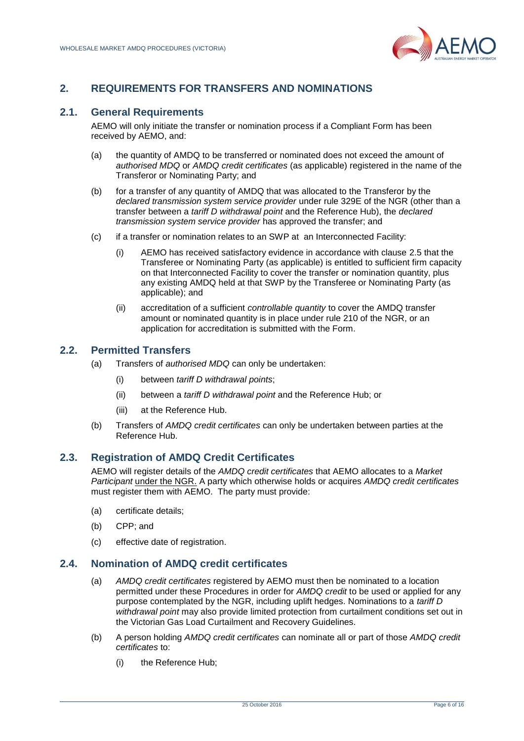

# <span id="page-5-0"></span>**2. REQUIREMENTS FOR TRANSFERS AND NOMINATIONS**

# <span id="page-5-1"></span>**2.1. General Requirements**

AEMO will only initiate the transfer or nomination process if a Compliant Form has been received by AEMO, and:

- (a) the quantity of AMDQ to be transferred or nominated does not exceed the amount of *authorised MDQ* or *AMDQ credit certificates* (as applicable) registered in the name of the Transferor or Nominating Party; and
- (b) for a transfer of any quantity of AMDQ that was allocated to the Transferor by the *declared transmission system service provider* under rule 329E of the NGR (other than a transfer between a *tariff D withdrawal point* and the Reference Hub), the *declared transmission system service provider* has approved the transfer; and
- (c) if a transfer or nomination relates to an SWP at an Interconnected Facility:
	- (i) AEMO has received satisfactory evidence in accordance with clause [2.5](#page-6-0) that the Transferee or Nominating Party (as applicable) is entitled to sufficient firm capacity on that Interconnected Facility to cover the transfer or nomination quantity, plus any existing AMDQ held at that SWP by the Transferee or Nominating Party (as applicable); and
	- (ii) accreditation of a sufficient *controllable quantity* to cover the AMDQ transfer amount or nominated quantity is in place under rule 210 of the NGR, or an application for accreditation is submitted with the Form.

# <span id="page-5-2"></span>**2.2. Permitted Transfers**

- (a) Transfers of *authorised MDQ* can only be undertaken:
	- (i) between *tariff D withdrawal points*;
	- (ii) between a *tariff D withdrawal point* and the Reference Hub; or
	- (iii) at the Reference Hub.
- (b) Transfers of *AMDQ credit certificates* can only be undertaken between parties at the Reference Hub.

# <span id="page-5-3"></span>**2.3. Registration of AMDQ Credit Certificates**

AEMO will register details of the *AMDQ credit certificates* that AEMO allocates to a *Market Participant* under the NGR. A party which otherwise holds or acquires *AMDQ credit certificates* must register them with AEMO. The party must provide:

- (a) certificate details;
- (b) CPP; and
- (c) effective date of registration.

# <span id="page-5-4"></span>**2.4. Nomination of AMDQ credit certificates**

- (a) *AMDQ credit certificates* registered by AEMO must then be nominated to a location permitted under these Procedures in order for *AMDQ credit* to be used or applied for any purpose contemplated by the NGR, including uplift hedges. Nominations to a *tariff D withdrawal point* may also provide limited protection from curtailment conditions set out in the Victorian Gas Load Curtailment and Recovery Guidelines.
- (b) A person holding *AMDQ credit certificates* can nominate all or part of those *AMDQ credit certificates* to:
	- (i) the Reference Hub;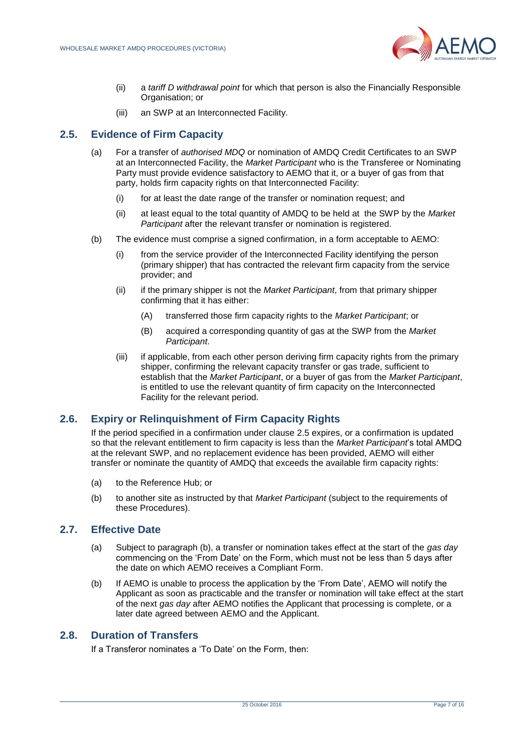

- (ii) a *tariff D withdrawal point* for which that person is also the Financially Responsible Organisation; or
- (iii) an SWP at an Interconnected Facility.

# <span id="page-6-0"></span>**2.5. Evidence of Firm Capacity**

- (a) For a transfer of *authorised MDQ* or nomination of AMDQ Credit Certificates to an SWP at an Interconnected Facility, the *Market Participant* who is the Transferee or Nominating Party must provide evidence satisfactory to AEMO that it, or a buyer of gas from that party, holds firm capacity rights on that Interconnected Facility:
	- (i) for at least the date range of the transfer or nomination request; and
	- (ii) at least equal to the total quantity of AMDQ to be held at the SWP by the *Market Participant* after the relevant transfer or nomination is registered.
- (b) The evidence must comprise a signed confirmation, in a form acceptable to AEMO:
	- (i) from the service provider of the Interconnected Facility identifying the person (primary shipper) that has contracted the relevant firm capacity from the service provider; and
	- (ii) if the primary shipper is not the *Market Participant*, from that primary shipper confirming that it has either:
		- (A) transferred those firm capacity rights to the *Market Participant*; or
		- (B) acquired a corresponding quantity of gas at the SWP from the *Market Participant*.
	- (iii) if applicable, from each other person deriving firm capacity rights from the primary shipper, confirming the relevant capacity transfer or gas trade, sufficient to establish that the *Market Participant*, or a buyer of gas from the *Market Participant*, is entitled to use the relevant quantity of firm capacity on the Interconnected Facility for the relevant period.

# <span id="page-6-1"></span>**2.6. Expiry or Relinquishment of Firm Capacity Rights**

If the period specified in a confirmation under clause [2.5](#page-6-0) expires, or a confirmation is updated so that the relevant entitlement to firm capacity is less than the *Market Participant*'s total AMDQ at the relevant SWP, and no replacement evidence has been provided, AEMO will either transfer or nominate the quantity of AMDQ that exceeds the available firm capacity rights:

- (a) to the Reference Hub; or
- (b) to another site as instructed by that *Market Participant* (subject to the requirements of these Procedures).

# <span id="page-6-2"></span>**2.7. Effective Date**

- (a) Subject to paragraph (b), a transfer or nomination takes effect at the start of the *gas day* commencing on the 'From Date' on the Form, which must not be less than 5 days after the date on which AEMO receives a Compliant Form.
- (b) If AEMO is unable to process the application by the 'From Date', AEMO will notify the Applicant as soon as practicable and the transfer or nomination will take effect at the start of the next *gas day* after AEMO notifies the Applicant that processing is complete, or a later date agreed between AEMO and the Applicant.

# <span id="page-6-3"></span>**2.8. Duration of Transfers**

If a Transferor nominates a 'To Date' on the Form, then: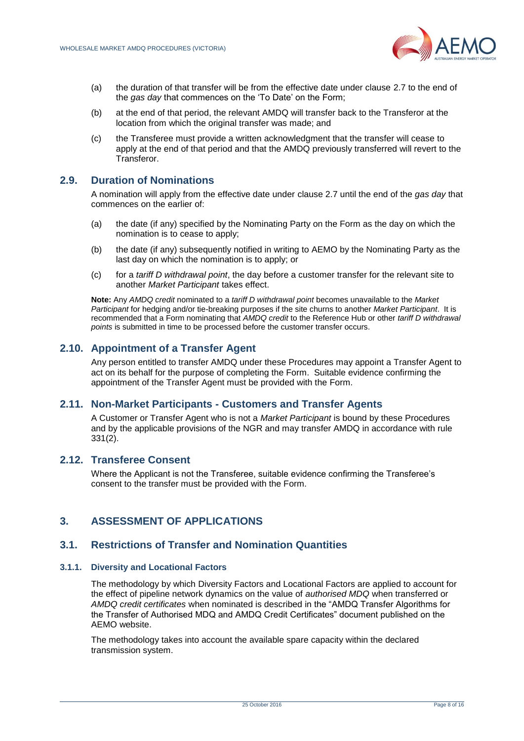

- (a) the duration of that transfer will be from the effective date under clause [2.7](#page-6-2) to the end of the *gas day* that commences on the 'To Date' on the Form;
- (b) at the end of that period, the relevant AMDQ will transfer back to the Transferor at the location from which the original transfer was made; and
- (c) the Transferee must provide a written acknowledgment that the transfer will cease to apply at the end of that period and that the AMDQ previously transferred will revert to the Transferor.

# <span id="page-7-0"></span>**2.9. Duration of Nominations**

A nomination will apply from the effective date under clause [2.7](#page-6-2) until the end of the *gas day* that commences on the earlier of:

- (a) the date (if any) specified by the Nominating Party on the Form as the day on which the nomination is to cease to apply;
- (b) the date (if any) subsequently notified in writing to AEMO by the Nominating Party as the last day on which the nomination is to apply; or
- (c) for a *tariff D withdrawal point*, the day before a customer transfer for the relevant site to another *Market Participant* takes effect.

**Note:** Any *AMDQ credit* nominated to a *tariff D withdrawal point* becomes unavailable to the *Market Participant* for hedging and/or tie-breaking purposes if the site churns to another *Market Participant*. It is recommended that a Form nominating that *AMDQ credit* to the Reference Hub or other *tariff D withdrawal points* is submitted in time to be processed before the customer transfer occurs.

# <span id="page-7-1"></span>**2.10. Appointment of a Transfer Agent**

Any person entitled to transfer AMDQ under these Procedures may appoint a Transfer Agent to act on its behalf for the purpose of completing the Form. Suitable evidence confirming the appointment of the Transfer Agent must be provided with the Form.

#### <span id="page-7-2"></span>**2.11. Non-Market Participants - Customers and Transfer Agents**

A Customer or Transfer Agent who is not a *Market Participant* is bound by these Procedures and by the applicable provisions of the NGR and may transfer AMDQ in accordance with rule 331(2).

# <span id="page-7-3"></span>**2.12. Transferee Consent**

Where the Applicant is not the Transferee, suitable evidence confirming the Transferee's consent to the transfer must be provided with the Form.

# <span id="page-7-4"></span>**3. ASSESSMENT OF APPLICATIONS**

# <span id="page-7-5"></span>**3.1. Restrictions of Transfer and Nomination Quantities**

#### **3.1.1. Diversity and Locational Factors**

The methodology by which Diversity Factors and Locational Factors are applied to account for the effect of pipeline network dynamics on the value of *authorised MDQ* when transferred or *AMDQ credit certificates* when nominated is described in the "AMDQ Transfer Algorithms for the Transfer of Authorised MDQ and AMDQ Credit Certificates" document published on the AEMO website.

The methodology takes into account the available spare capacity within the declared transmission system.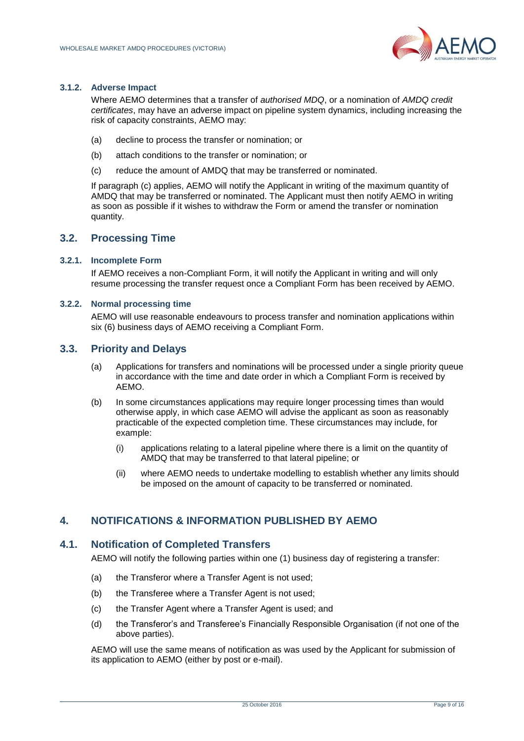

#### **3.1.2. Adverse Impact**

Where AEMO determines that a transfer of *authorised MDQ*, or a nomination of *AMDQ credit certificates*, may have an adverse impact on pipeline system dynamics, including increasing the risk of capacity constraints, AEMO may:

- (a) decline to process the transfer or nomination; or
- (b) attach conditions to the transfer or nomination; or
- (c) reduce the amount of AMDQ that may be transferred or nominated.

If paragraph (c) applies, AEMO will notify the Applicant in writing of the maximum quantity of AMDQ that may be transferred or nominated. The Applicant must then notify AEMO in writing as soon as possible if it wishes to withdraw the Form or amend the transfer or nomination quantity.

# <span id="page-8-0"></span>**3.2. Processing Time**

#### **3.2.1. Incomplete Form**

If AEMO receives a non-Compliant Form, it will notify the Applicant in writing and will only resume processing the transfer request once a Compliant Form has been received by AEMO.

#### **3.2.2. Normal processing time**

AEMO will use reasonable endeavours to process transfer and nomination applications within six (6) business days of AEMO receiving a Compliant Form.

#### <span id="page-8-1"></span>**3.3. Priority and Delays**

- (a) Applications for transfers and nominations will be processed under a single priority queue in accordance with the time and date order in which a Compliant Form is received by AEMO.
- (b) In some circumstances applications may require longer processing times than would otherwise apply, in which case AEMO will advise the applicant as soon as reasonably practicable of the expected completion time. These circumstances may include, for example:
	- (i) applications relating to a lateral pipeline where there is a limit on the quantity of AMDQ that may be transferred to that lateral pipeline; or
	- (ii) where AEMO needs to undertake modelling to establish whether any limits should be imposed on the amount of capacity to be transferred or nominated.

# <span id="page-8-2"></span>**4. NOTIFICATIONS & INFORMATION PUBLISHED BY AEMO**

#### <span id="page-8-3"></span>**4.1. Notification of Completed Transfers**

AEMO will notify the following parties within one (1) business day of registering a transfer:

- (a) the Transferor where a Transfer Agent is not used:
- (b) the Transferee where a Transfer Agent is not used;
- (c) the Transfer Agent where a Transfer Agent is used; and
- (d) the Transferor's and Transferee's Financially Responsible Organisation (if not one of the above parties).

AEMO will use the same means of notification as was used by the Applicant for submission of its application to AEMO (either by post or e-mail).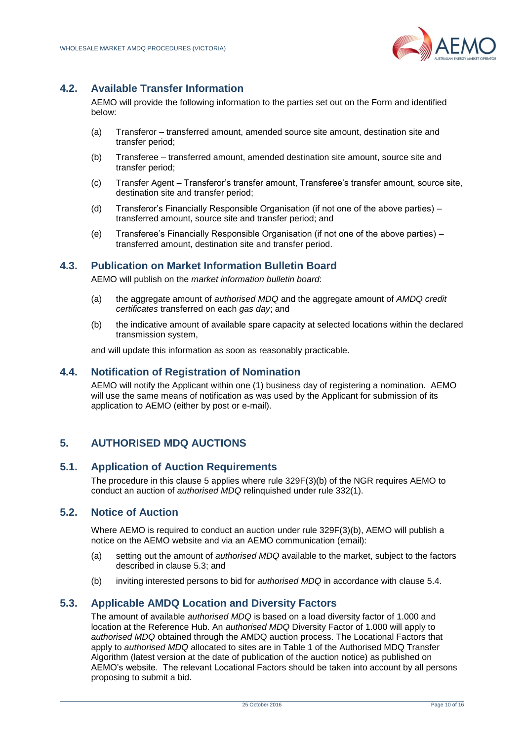

# <span id="page-9-0"></span>**4.2. Available Transfer Information**

AEMO will provide the following information to the parties set out on the Form and identified below:

- (a) Transferor transferred amount, amended source site amount, destination site and transfer period;
- (b) Transferee transferred amount, amended destination site amount, source site and transfer period;
- (c) Transfer Agent Transferor's transfer amount, Transferee's transfer amount, source site, destination site and transfer period;
- (d) Transferor's Financially Responsible Organisation (if not one of the above parties) transferred amount, source site and transfer period; and
- (e) Transferee's Financially Responsible Organisation (if not one of the above parties) transferred amount, destination site and transfer period.

# <span id="page-9-1"></span>**4.3. Publication on Market Information Bulletin Board**

AEMO will publish on the *market information bulletin board*:

- (a) the aggregate amount of *authorised MDQ* and the aggregate amount of *AMDQ credit certificates* transferred on each *gas day*; and
- (b) the indicative amount of available spare capacity at selected locations within the declared transmission system,

and will update this information as soon as reasonably practicable.

#### <span id="page-9-2"></span>**4.4. Notification of Registration of Nomination**

AEMO will notify the Applicant within one (1) business day of registering a nomination. AEMO will use the same means of notification as was used by the Applicant for submission of its application to AEMO (either by post or e-mail).

# <span id="page-9-3"></span>**5. AUTHORISED MDQ AUCTIONS**

# <span id="page-9-4"></span>**5.1. Application of Auction Requirements**

The procedure in this clause [5](#page-9-3) applies where rule 329F(3)(b) of the NGR requires AEMO to conduct an auction of *authorised MDQ* relinquished under rule 332(1).

# <span id="page-9-5"></span>**5.2. Notice of Auction**

Where AEMO is required to conduct an auction under rule 329F(3)(b), AEMO will publish a notice on the AEMO website and via an AEMO communication (email):

- (a) setting out the amount of *authorised MDQ* available to the market, subject to the factors described in clause [5.3;](#page-9-6) and
- (b) inviting interested persons to bid for *authorised MDQ* in accordance with clause [5.4.](#page-10-0)

# <span id="page-9-6"></span>**5.3. Applicable AMDQ Location and Diversity Factors**

The amount of available *authorised MDQ* is based on a load diversity factor of 1.000 and location at the Reference Hub. An *authorised MDQ* Diversity Factor of 1.000 will apply to *authorised MDQ* obtained through the AMDQ auction process. The Locational Factors that apply to *authorised MDQ* allocated to sites are in Table 1 of the Authorised MDQ Transfer Algorithm (latest version at the date of publication of the auction notice) as published on AEMO's website. The relevant Locational Factors should be taken into account by all persons proposing to submit a bid.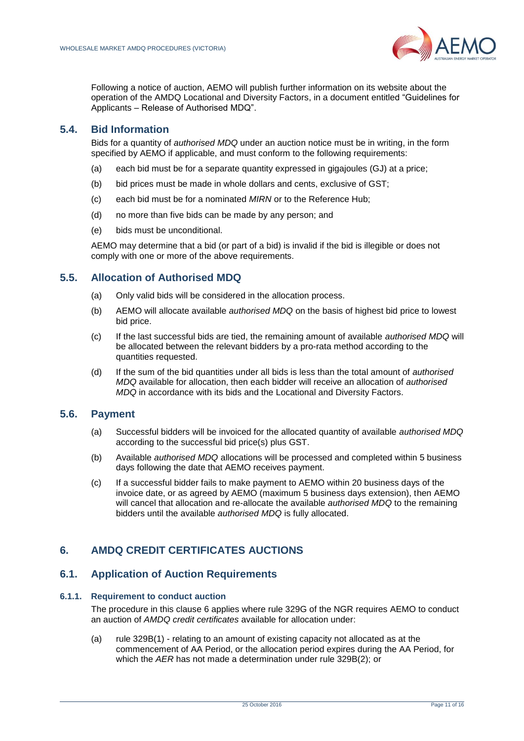

Following a notice of auction, AEMO will publish further information on its website about the operation of the AMDQ Locational and Diversity Factors, in a document entitled "Guidelines for Applicants – Release of Authorised MDQ".

# <span id="page-10-0"></span>**5.4. Bid Information**

Bids for a quantity of *authorised MDQ* under an auction notice must be in writing, in the form specified by AEMO if applicable, and must conform to the following requirements:

- (a) each bid must be for a separate quantity expressed in gigajoules (GJ) at a price;
- (b) bid prices must be made in whole dollars and cents, exclusive of GST;
- (c) each bid must be for a nominated *MIRN* or to the Reference Hub;
- (d) no more than five bids can be made by any person; and
- (e) bids must be unconditional.

AEMO may determine that a bid (or part of a bid) is invalid if the bid is illegible or does not comply with one or more of the above requirements.

#### <span id="page-10-1"></span>**5.5. Allocation of Authorised MDQ**

- (a) Only valid bids will be considered in the allocation process.
- (b) AEMO will allocate available *authorised MDQ* on the basis of highest bid price to lowest bid price.
- (c) If the last successful bids are tied, the remaining amount of available *authorised MDQ* will be allocated between the relevant bidders by a pro-rata method according to the quantities requested.
- (d) If the sum of the bid quantities under all bids is less than the total amount of *authorised MDQ* available for allocation, then each bidder will receive an allocation of *authorised MDQ* in accordance with its bids and the Locational and Diversity Factors.

#### <span id="page-10-2"></span>**5.6. Payment**

- (a) Successful bidders will be invoiced for the allocated quantity of available *authorised MDQ* according to the successful bid price(s) plus GST.
- (b) Available *authorised MDQ* allocations will be processed and completed within 5 business days following the date that AEMO receives payment.
- (c) If a successful bidder fails to make payment to AEMO within 20 business days of the invoice date, or as agreed by AEMO (maximum 5 business days extension), then AEMO will cancel that allocation and re-allocate the available *authorised MDQ* to the remaining bidders until the available *authorised MDQ* is fully allocated.

# <span id="page-10-3"></span>**6. AMDQ CREDIT CERTIFICATES AUCTIONS**

# <span id="page-10-4"></span>**6.1. Application of Auction Requirements**

#### **6.1.1. Requirement to conduct auction**

The procedure in this clause [6](#page-10-3) applies where rule 329G of the NGR requires AEMO to conduct an auction of *AMDQ credit certificates* available for allocation under:

(a) rule 329B(1) - relating to an amount of existing capacity not allocated as at the commencement of AA Period, or the allocation period expires during the AA Period, for which the *AER* has not made a determination under rule 329B(2); or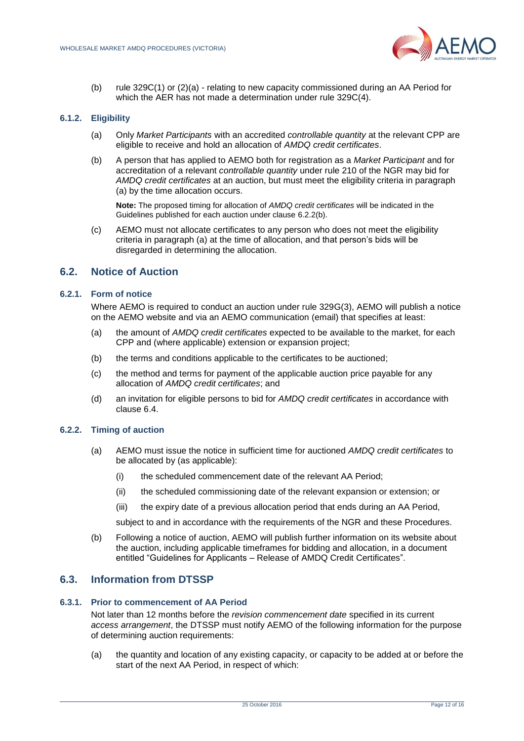

(b) rule 329C(1) or (2)(a) - relating to new capacity commissioned during an AA Period for which the AER has not made a determination under rule 329C(4).

#### <span id="page-11-4"></span>**6.1.2. Eligibility**

- (a) Only *Market Participants* with an accredited *controllable quantity* at the relevant CPP are eligible to receive and hold an allocation of *AMDQ credit certificates*.
- (b) A person that has applied to AEMO both for registration as a *Market Participant* and for accreditation of a relevant *controllable quantity* under rule 210 of the NGR may bid for *AMDQ credit certificates* at an auction, but must meet the eligibility criteria in paragraph (a) by the time allocation occurs.

**Note:** The proposed timing for allocation of *AMDQ credit certificates* will be indicated in the Guidelines published for each auction under clause [6.2.2\(b\).](#page-11-2)

(c) AEMO must not allocate certificates to any person who does not meet the eligibility criteria in paragraph (a) at the time of allocation, and that person's bids will be disregarded in determining the allocation.

#### <span id="page-11-0"></span>**6.2. Notice of Auction**

#### **6.2.1. Form of notice**

Where AEMO is required to conduct an auction under rule 329G(3), AEMO will publish a notice on the AEMO website and via an AEMO communication (email) that specifies at least:

- (a) the amount of *AMDQ credit certificates* expected to be available to the market, for each CPP and (where applicable) extension or expansion project;
- (b) the terms and conditions applicable to the certificates to be auctioned;
- (c) the method and terms for payment of the applicable auction price payable for any allocation of *AMDQ credit certificates*; and
- (d) an invitation for eligible persons to bid for *AMDQ credit certificates* in accordance with clause [6.4.](#page-12-0)

#### <span id="page-11-2"></span>**6.2.2. Timing of auction**

- (a) AEMO must issue the notice in sufficient time for auctioned *AMDQ credit certificates* to be allocated by (as applicable):
	- (i) the scheduled commencement date of the relevant AA Period;
	- (ii) the scheduled commissioning date of the relevant expansion or extension; or
	- (iii) the expiry date of a previous allocation period that ends during an AA Period,

subject to and in accordance with the requirements of the NGR and these Procedures.

(b) Following a notice of auction, AEMO will publish further information on its website about the auction, including applicable timeframes for bidding and allocation, in a document entitled "Guidelines for Applicants – Release of AMDQ Credit Certificates".

#### <span id="page-11-1"></span>**6.3. Information from DTSSP**

#### <span id="page-11-3"></span>**6.3.1. Prior to commencement of AA Period**

Not later than 12 months before the *revision commencement date* specified in its current *access arrangement*, the DTSSP must notify AEMO of the following information for the purpose of determining auction requirements:

(a) the quantity and location of any existing capacity, or capacity to be added at or before the start of the next AA Period, in respect of which: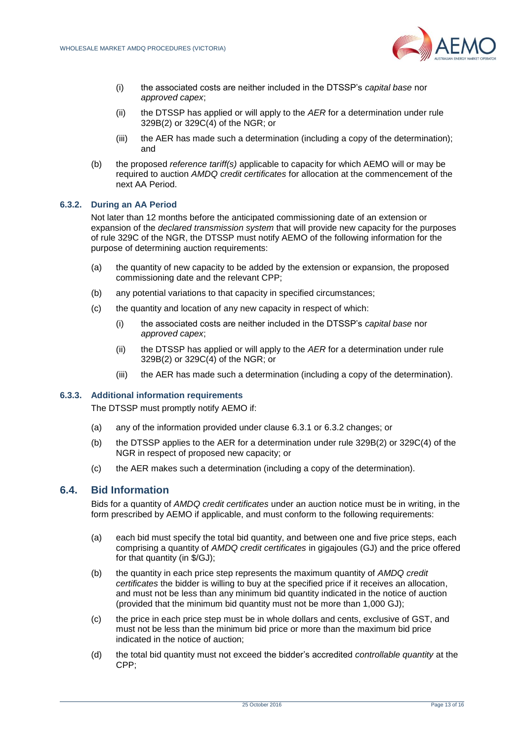

- (i) the associated costs are neither included in the DTSSP's *capital base* nor *approved capex*;
- (ii) the DTSSP has applied or will apply to the *AER* for a determination under rule 329B(2) or 329C(4) of the NGR; or
- (iii) the AER has made such a determination (including a copy of the determination); and
- (b) the proposed *reference tariff(s)* applicable to capacity for which AEMO will or may be required to auction *AMDQ credit certificates* for allocation at the commencement of the next AA Period.

#### <span id="page-12-1"></span>**6.3.2. During an AA Period**

Not later than 12 months before the anticipated commissioning date of an extension or expansion of the *declared transmission system* that will provide new capacity for the purposes of rule 329C of the NGR, the DTSSP must notify AEMO of the following information for the purpose of determining auction requirements:

- (a) the quantity of new capacity to be added by the extension or expansion, the proposed commissioning date and the relevant CPP;
- (b) any potential variations to that capacity in specified circumstances;
- (c) the quantity and location of any new capacity in respect of which:
	- (i) the associated costs are neither included in the DTSSP's *capital base* nor *approved capex*;
	- (ii) the DTSSP has applied or will apply to the *AER* for a determination under rule 329B(2) or 329C(4) of the NGR; or
	- (iii) the AER has made such a determination (including a copy of the determination).

#### **6.3.3. Additional information requirements**

The DTSSP must promptly notify AEMO if:

- (a) any of the information provided under clause [6.3.1](#page-11-3) or [6.3.2](#page-12-1) changes; or
- (b) the DTSSP applies to the AER for a determination under rule 329B(2) or 329C(4) of the NGR in respect of proposed new capacity; or
- (c) the AER makes such a determination (including a copy of the determination).

#### <span id="page-12-0"></span>**6.4. Bid Information**

Bids for a quantity of *AMDQ credit certificates* under an auction notice must be in writing, in the form prescribed by AEMO if applicable, and must conform to the following requirements:

- (a) each bid must specify the total bid quantity, and between one and five price steps, each comprising a quantity of *AMDQ credit certificates* in gigajoules (GJ) and the price offered for that quantity (in \$/GJ);
- (b) the quantity in each price step represents the maximum quantity of *AMDQ credit certificates* the bidder is willing to buy at the specified price if it receives an allocation, and must not be less than any minimum bid quantity indicated in the notice of auction (provided that the minimum bid quantity must not be more than 1,000 GJ);
- (c) the price in each price step must be in whole dollars and cents, exclusive of GST, and must not be less than the minimum bid price or more than the maximum bid price indicated in the notice of auction;
- (d) the total bid quantity must not exceed the bidder's accredited *controllable quantity* at the CPP;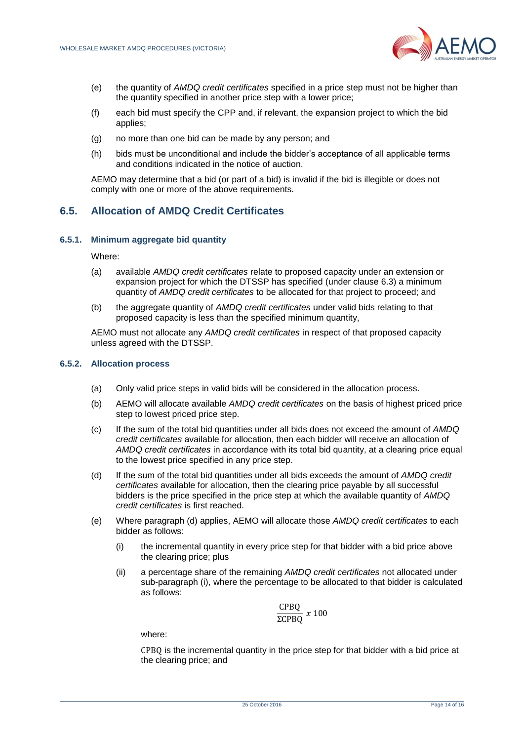

- (e) the quantity of *AMDQ credit certificates* specified in a price step must not be higher than the quantity specified in another price step with a lower price;
- (f) each bid must specify the CPP and, if relevant, the expansion project to which the bid applies;
- (g) no more than one bid can be made by any person; and
- (h) bids must be unconditional and include the bidder's acceptance of all applicable terms and conditions indicated in the notice of auction.

AEMO may determine that a bid (or part of a bid) is invalid if the bid is illegible or does not comply with one or more of the above requirements.

# <span id="page-13-0"></span>**6.5. Allocation of AMDQ Credit Certificates**

#### **6.5.1. Minimum aggregate bid quantity**

Where:

- (a) available *AMDQ credit certificates* relate to proposed capacity under an extension or expansion project for which the DTSSP has specified (under clause [6.3\)](#page-11-1) a minimum quantity of *AMDQ credit certificates* to be allocated for that project to proceed; and
- (b) the aggregate quantity of *AMDQ credit certificates* under valid bids relating to that proposed capacity is less than the specified minimum quantity,

AEMO must not allocate any *AMDQ credit certificates* in respect of that proposed capacity unless agreed with the DTSSP.

#### **6.5.2. Allocation process**

- (a) Only valid price steps in valid bids will be considered in the allocation process.
- (b) AEMO will allocate available *AMDQ credit certificates* on the basis of highest priced price step to lowest priced price step.
- (c) If the sum of the total bid quantities under all bids does not exceed the amount of *AMDQ credit certificates* available for allocation, then each bidder will receive an allocation of *AMDQ credit certificates* in accordance with its total bid quantity, at a clearing price equal to the lowest price specified in any price step.
- (d) If the sum of the total bid quantities under all bids exceeds the amount of *AMDQ credit certificates* available for allocation, then the clearing price payable by all successful bidders is the price specified in the price step at which the available quantity of *AMDQ credit certificates* is first reached.
- (e) Where paragraph (d) applies, AEMO will allocate those *AMDQ credit certificates* to each bidder as follows:
	- (i) the incremental quantity in every price step for that bidder with a bid price above the clearing price; plus
	- (ii) a percentage share of the remaining *AMDQ credit certificates* not allocated under sub-paragraph (i), where the percentage to be allocated to that bidder is calculated as follows:

$$
\frac{\text{CPBQ}}{\text{2CPBQ}} \; x \; 100
$$

where:

CPBQ is the incremental quantity in the price step for that bidder with a bid price at the clearing price; and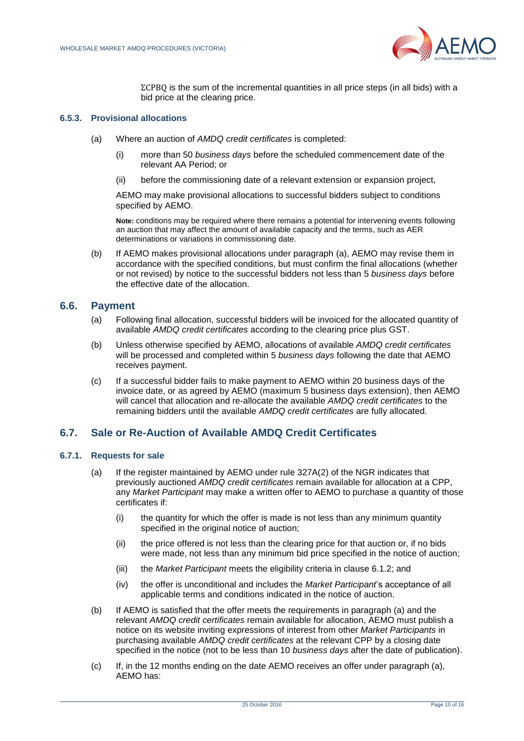

ΣCPBQ is the sum of the incremental quantities in all price steps (in all bids) with a bid price at the clearing price.

#### <span id="page-14-2"></span>**6.5.3. Provisional allocations**

- (a) Where an auction of *AMDQ credit certificates* is completed:
	- (i) more than 50 *business days* before the scheduled commencement date of the relevant AA Period; or
	- (ii) before the commissioning date of a relevant extension or expansion project,

AEMO may make provisional allocations to successful bidders subject to conditions specified by AEMO.

**Note:** conditions may be required where there remains a potential for intervening events following an auction that may affect the amount of available capacity and the terms, such as AER determinations or variations in commissioning date.

(b) If AEMO makes provisional allocations under paragraph [\(a\),](#page-14-2) AEMO may revise them in accordance with the specified conditions, but must confirm the final allocations (whether or not revised) by notice to the successful bidders not less than 5 *business days* before the effective date of the allocation.

#### <span id="page-14-0"></span>**6.6. Payment**

- (a) Following final allocation, successful bidders will be invoiced for the allocated quantity of available *AMDQ credit certificates* according to the clearing price plus GST.
- (b) Unless otherwise specified by AEMO, allocations of available *AMDQ credit certificates* will be processed and completed within 5 *business days* following the date that AEMO receives payment.
- (c) If a successful bidder fails to make payment to AEMO within 20 business days of the invoice date, or as agreed by AEMO (maximum 5 business days extension), then AEMO will cancel that allocation and re-allocate the available *AMDQ credit certificates* to the remaining bidders until the available *AMDQ credit certificates* are fully allocated.

#### <span id="page-14-1"></span>**6.7. Sale or Re-Auction of Available AMDQ Credit Certificates**

#### <span id="page-14-3"></span>**6.7.1. Requests for sale**

- (a) If the register maintained by AEMO under rule 327A(2) of the NGR indicates that previously auctioned *AMDQ credit certificates* remain available for allocation at a CPP, any *Market Participant* may make a written offer to AEMO to purchase a quantity of those certificates if:
	- (i) the quantity for which the offer is made is not less than any minimum quantity specified in the original notice of auction;
	- (ii) the price offered is not less than the clearing price for that auction or, if no bids were made, not less than any minimum bid price specified in the notice of auction;
	- (iii) the *Market Participant* meets the eligibility criteria in clause [6.1.2;](#page-11-4) and
	- (iv) the offer is unconditional and includes the *Market Participant*'s acceptance of all applicable terms and conditions indicated in the notice of auction.
- (b) If AEMO is satisfied that the offer meets the requirements in paragraph [\(a\)](#page-14-3) and the relevant *AMDQ credit certificates* remain available for allocation, AEMO must publish a notice on its website inviting expressions of interest from other *Market Participants* in purchasing available *AMDQ credit certificates* at the relevant CPP by a closing date specified in the notice (not to be less than 10 *business days* after the date of publication).
- (c) If, in the 12 months ending on the date AEMO receives an offer under paragraph (a), AEMO has: